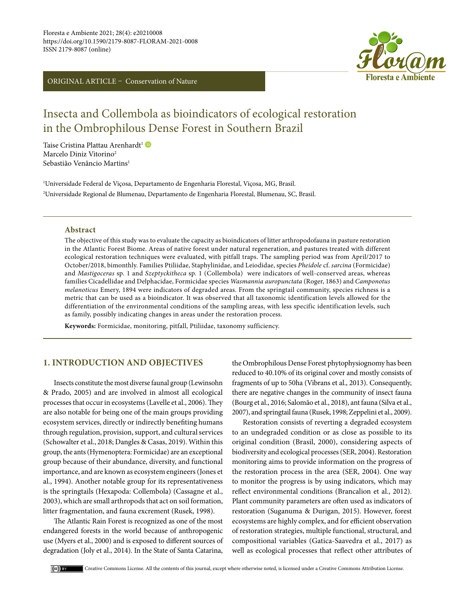ORIGINAL ARTICLE – Conservation of Nature



# Insecta and Collembola as bioindicators of ecological restoration in the Ombrophilous Dense Forest in Southern Brazil

Taise Cristina Plattau Arenhardt<sup>1</sup> Marcelo Diniz Vitorino<sup>2</sup> Sebastião Venâncio Martins<sup>1</sup>

1 Universidade Federal de Viçosa, Departamento de Engenharia Florestal, Viçosa, MG, Brasil. 2 Universidade Regional de Blumenau, Departamento de Engenharia Florestal, Blumenau, SC, Brasil.

#### **Abstract**

The objective of this study was to evaluate the capacity as bioindicators of litter arthropodofauna in pasture restoration in the Atlantic Forest Biome. Areas of native forest under natural regeneration, and pastures treated with different ecological restoration techniques were evaluated, with pitfall traps. The sampling period was from April/2017 to October/2018, bimonthly. Families Ptiliidae, Staphylinidae, and Leiodidae, species *Pheidole* cf. *sarcina* (Formicidae) and *Mastigoceras* sp. 1 and *Szeptyckitheca* sp. 1 (Collembola) were indicators of well-conserved areas, whereas families Cicadellidae and Delphacidae, Formicidae species *Wasmannia auropunctata* (Roger, 1863) and *Camponotus melanoticus* Emery, 1894 were indicators of degraded areas. From the springtail community, species richness is a metric that can be used as a bioindicator. It was observed that all taxonomic identification levels allowed for the differentiation of the environmental conditions of the sampling areas, with less specific identification levels, such as family, possibly indicating changes in areas under the restoration process.

**Keywords:** Formicidae, monitoring, pitfall, Ptiliidae, taxonomy sufficiency.

## **1. INTRODUCTION AND OBJECTIVES**

Insects constitute the most diverse faunal group (Lewinsohn & Prado, 2005) and are involved in almost all ecological processes that occur in ecosystems (Lavelle et al., 2006). They are also notable for being one of the main groups providing ecosystem services, directly or indirectly benefiting humans through regulation, provision, support, and cultural services (Schowalter et al., 2018; Dangles & Casas, 2019). Within this group, the ants (Hymenoptera: Formicidae) are an exceptional group because of their abundance, diversity, and functional importance, and are known as ecosystem engineers (Jones et al., 1994). Another notable group for its representativeness is the springtails (Hexapoda: Collembola) (Cassagne et al., 2003), which are small arthropods that act on soil formation, litter fragmentation, and fauna excrement (Rusek, 1998).

The Atlantic Rain Forest is recognized as one of the most endangered forests in the world because of anthropogenic use (Myers et al., 2000) and is exposed to different sources of degradation (Joly et al., 2014). In the State of Santa Catarina,

the Ombrophilous Dense Forest phytophysiognomy has been reduced to 40.10% of its original cover and mostly consists of fragments of up to 50ha (Vibrans et al., 2013). Consequently, there are negative changes in the community of insect fauna (Bourg et al., 2016; Salomão et al., 2018), ant fauna (Silva et al., 2007), and springtail fauna (Rusek, 1998; Zeppelini et al., 2009).

Restoration consists of reverting a degraded ecosystem to an undegraded condition or as close as possible to its original condition (Brasil, 2000), considering aspects of biodiversity and ecological processes (SER, 2004). Restoration monitoring aims to provide information on the progress of the restoration process in the area (SER, 2004). One way to monitor the progress is by using indicators, which may reflect environmental conditions (Brancalion et al., 2012). Plant community parameters are often used as indicators of restoration (Suganuma & Durigan, 2015). However, forest ecosystems are highly complex, and for efficient observation of restoration strategies, multiple functional, structural, and compositional variables (Gatica-Saavedra et al., 2017) as well as ecological processes that reflect other attributes of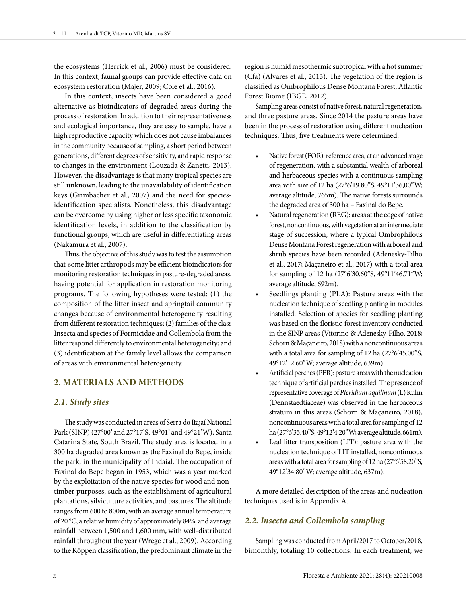the ecosystems (Herrick et al., 2006) must be considered. In this context, faunal groups can provide effective data on ecosystem restoration (Majer, 2009; Cole et al., 2016).

In this context, insects have been considered a good alternative as bioindicators of degraded areas during the process of restoration. In addition to their representativeness and ecological importance, they are easy to sample, have a high reproductive capacity which does not cause imbalances in the community because of sampling, a short period between generations, different degrees of sensitivity, and rapid response to changes in the environment (Louzada & Zanetti, 2013). However, the disadvantage is that many tropical species are still unknown, leading to the unavailability of identification keys (Grimbacher et al., 2007) and the need for speciesidentification specialists. Nonetheless, this disadvantage can be overcome by using higher or less specific taxonomic identification levels, in addition to the classification by functional groups, which are useful in differentiating areas (Nakamura et al., 2007).

Thus, the objective of this study was to test the assumption that some litter arthropods may be efficient bioindicators for monitoring restoration techniques in pasture-degraded areas, having potential for application in restoration monitoring programs. The following hypotheses were tested: (1) the composition of the litter insect and springtail community changes because of environmental heterogeneity resulting from different restoration techniques; (2) families of the class Insecta and species of Formicidae and Collembola from the litter respond differently to environmental heterogeneity; and (3) identification at the family level allows the comparison of areas with environmental heterogeneity.

## **2. MATERIALS AND METHODS**

## *2.1. Study sites*

The study was conducted in areas of Serra do Itajaí National Park (SINP) (27°00' and 27°17'S, 49°01' and 49°21'W), Santa Catarina State, South Brazil. The study area is located in a 300 ha degraded area known as the Faxinal do Bepe, inside the park, in the municipality of Indaial. The occupation of Faxinal do Bepe began in 1953, which was a year marked by the exploitation of the native species for wood and nontimber purposes, such as the establishment of agricultural plantations, silviculture activities, and pastures. The altitude ranges from 600 to 800m, with an average annual temperature of 20 °C, a relative humidity of approximately 84%, and average rainfall between 1,500 and 1,600 mm, with well-distributed rainfall throughout the year (Wrege et al., 2009). According to the Köppen classification, the predominant climate in the

region is humid mesothermic subtropical with a hot summer (Cfa) (Alvares et al., 2013). The vegetation of the region is classified as Ombrophilous Dense Montana Forest, Atlantic Forest Biome (IBGE, 2012).

Sampling areas consist of native forest, natural regeneration, and three pasture areas. Since 2014 the pasture areas have been in the process of restoration using different nucleation techniques. Thus, five treatments were determined:

- Native forest (FOR): reference area, at an advanced stage of regeneration, with a substantial wealth of arboreal and herbaceous species with a continuous sampling area with size of 12 ha (27°6'19.80"S, 49°11'36,00"W; average altitude, 765m). The native forests surrounds the degraded area of 300 ha – Faxinal do Bepe.
- Natural regeneration (REG): areas at the edge of native forest, noncontinuous, with vegetation at an intermediate stage of succession, where a typical Ombrophilous Dense Montana Forest regeneration with arboreal and shrub species have been recorded (Adenesky-Filho et al., 2017; Maçaneiro et al., 2017) with a total area for sampling of 12 ha (27°6'30.60"S, 49°11'46.71"W; average altitude, 692m).
- Seedlings planting (PLA): Pasture areas with the nucleation technique of seedling planting in modules installed. Selection of species for seedling planting was based on the floristic-forest inventory conducted in the SINP areas (Vitorino & Adenesky-Filho, 2018; Schorn & Maçaneiro, 2018) with a noncontinuous areas with a total area for sampling of 12 ha (27°6'45.00"S, 49°12'12.60"W; average altitude, 639m).
- Artificial perches (PER): pasture areas with the nucleation technique of artificial perches installed. The presence of representative coverage of *Pteridium aquilinum* (L) Kuhn (Dennstaedtiaceae) was observed in the herbaceous stratum in this areas (Schorn & Maçaneiro, 2018), noncontinuous areas with a total area for sampling of 12 ha (27°6'35.40"S, 49°12'4.20"W; average altitude, 661m).
- Leaf litter transposition (LIT): pasture area with the nucleation technique of LIT installed, noncontinuous areas with a total area for sampling of 12 ha (27°6'58.20"S, 49°12'34.80"W; average altitude, 637m).

A more detailed description of the areas and nucleation techniques used is in Appendix A.

## *2.2. Insecta and Collembola sampling*

Sampling was conducted from April/2017 to October/2018, bimonthly, totaling 10 collections. In each treatment, we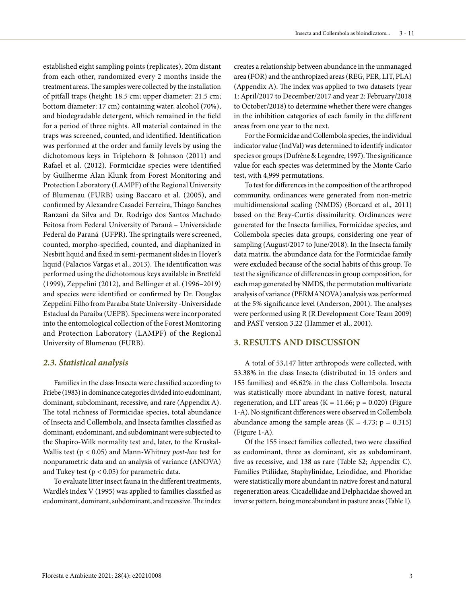established eight sampling points (replicates), 20m distant from each other, randomized every 2 months inside the treatment areas. The samples were collected by the installation of pitfall traps (height: 18.5 cm; upper diameter: 21.5 cm; bottom diameter: 17 cm) containing water, alcohol (70%), and biodegradable detergent, which remained in the field for a period of three nights. All material contained in the traps was screened, counted, and identified. Identification was performed at the order and family levels by using the dichotomous keys in Triplehorn & Johnson (2011) and Rafael et al. (2012). Formicidae species were identified by Guilherme Alan Klunk from Forest Monitoring and Protection Laboratory (LAMPF) of the Regional University of Blumenau (FURB) using Baccaro et al. (2005), and confirmed by Alexandre Casadei Ferreira, Thiago Sanches Ranzani da Silva and Dr. Rodrigo dos Santos Machado Feitosa from Federal University of Paraná – Universidade Federal do Paraná (UFPR). The springtails were screened, counted, morpho-specified, counted, and diaphanized in Nesbitt liquid and fixed in semi-permanent slides in Hoyer's liquid (Palacios Vargas et al., 2013). The identification was performed using the dichotomous keys available in Bretfeld (1999), Zeppelini (2012), and Bellinger et al. (1996–2019) and species were identified or confirmed by Dr. Douglas Zeppelini Filho from Paraíba State University -Universidade Estadual da Paraíba (UEPB). Specimens were incorporated into the entomological collection of the Forest Monitoring and Protection Laboratory (LAMPF) of the Regional University of Blumenau (FURB).

#### *2.3. Statistical analysis*

Families in the class Insecta were classified according to Friebe (1983) in dominance categories divided into eudominant, dominant, subdominant, recessive, and rare (Appendix A). The total richness of Formicidae species, total abundance of Insecta and Collembola, and Insecta families classified as dominant, eudominant, and subdominant were subjected to the Shapiro-Wilk normality test and, later, to the Kruskal-Wallis test (p < 0.05) and Mann-Whitney *post-hoc* test for nonparametric data and an analysis of variance (ANOVA) and Tukey test ( $p < 0.05$ ) for parametric data.

To evaluate litter insect fauna in the different treatments, Wardle's index V (1995) was applied to families classified as eudominant, dominant, subdominant, and recessive. The index creates a relationship between abundance in the unmanaged area (FOR) and the anthropized areas (REG, PER, LIT, PLA) (Appendix A). The index was applied to two datasets (year 1: April/2017 to December/2017 and year 2: February/2018 to October/2018) to determine whether there were changes in the inhibition categories of each family in the different areas from one year to the next.

For the Formicidae and Collembola species, the individual indicator value (IndVal) was determined to identify indicator species or groups (Dufrêne & Legendre, 1997). The significance value for each species was determined by the Monte Carlo test, with 4,999 permutations.

To test for differences in the composition of the arthropod community, ordinances were generated from non-metric multidimensional scaling (NMDS) (Borcard et al., 2011) based on the Bray-Curtis dissimilarity. Ordinances were generated for the Insecta families, Formicidae species, and Collembola species data groups, considering one year of sampling (August/2017 to June/2018). In the Insecta family data matrix, the abundance data for the Formicidae family were excluded because of the social habits of this group. To test the significance of differences in group composition, for each map generated by NMDS, the permutation multivariate analysis of variance (PERMANOVA) analysis was performed at the 5% significance level (Anderson, 2001). The analyses were performed using R (R Development Core Team 2009) and PAST version 3.22 (Hammer et al., 2001).

## **3. RESULTS AND DISCUSSION**

A total of 53,147 litter arthropods were collected, with 53.38% in the class Insecta (distributed in 15 orders and 155 families) and 46.62% in the class Collembola. Insecta was statistically more abundant in native forest, natural regeneration, and LIT areas ( $K = 11.66$ ;  $p = 0.020$ ) (Figure 1-A). No significant differences were observed in Collembola abundance among the sample areas  $(K = 4.73; p = 0.315)$ (Figure 1-A).

Of the 155 insect families collected, two were classified as eudominant, three as dominant, six as subdominant, five as recessive, and 138 as rare (Table S2; Appendix C). Families Ptiliidae, Staphylinidae, Leiodidae, and Phoridae were statistically more abundant in native forest and natural regeneration areas. Cicadellidae and Delphacidae showed an inverse pattern, being more abundant in pasture areas (Table 1).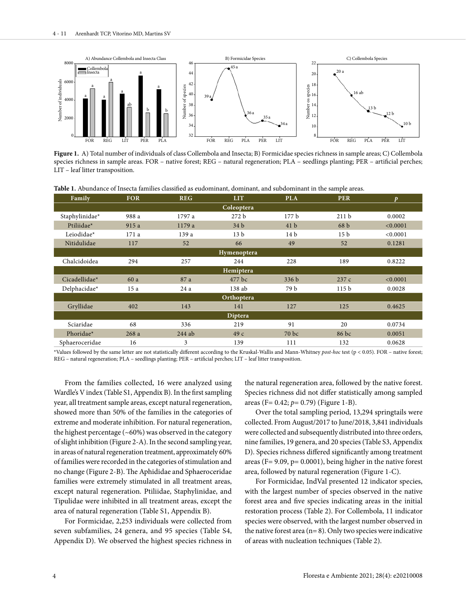

**Figure 1.** A) Total number of individuals of class Collembola and Insecta; B) Formicidae species richness in sample areas; C) Collembola species richness in sample areas. FOR – native forest; REG – natural regeneration; PLA – seedlings planting; PER – artificial perches; LIT – leaf litter transposition.

**Table 1.** Abundance of Insecta families classified as eudominant, dominant, and subdominant in the sample areas.

| Family         | <b>FOR</b> | <b>REG</b> | <b>LIT</b>       | <b>PLA</b>       | <b>PER</b>       | D        |  |
|----------------|------------|------------|------------------|------------------|------------------|----------|--|
| Coleoptera     |            |            |                  |                  |                  |          |  |
| Staphylinidae* | 988 a      | 1797 a     | 272 <sub>b</sub> | 177 b            | 211 <sub>b</sub> | 0.0002   |  |
| Ptiliidae*     | 915 a      | 1179 a     | 34 <sub>b</sub>  | 41 <sub>b</sub>  | 68 <sub>b</sub>  | < 0.0001 |  |
| Leiodidae*     | 171 a      | 139 a      | 13 <sub>b</sub>  | 14 <sub>b</sub>  | 15 <sub>b</sub>  | < 0.0001 |  |
| Nitidulidae    | 117        | 52         | 66               | 49               | 52               | 0.1281   |  |
| Hymenoptera    |            |            |                  |                  |                  |          |  |
| Chalcidoidea   | 294        | 257        | 244              | 228              | 189              | 0.8222   |  |
| Hemiptera      |            |            |                  |                  |                  |          |  |
| Cicadellidae*  | 60 a       | 87 a       | 477 bc           | 336 <sub>b</sub> | 237c             | < 0.0001 |  |
| Delphacidae*   | 15a        | 24 a       | 138 ab           | 79 b             | 115 <sub>b</sub> | 0.0028   |  |
| Orthoptera     |            |            |                  |                  |                  |          |  |
| Gryllidae      | 402        | 143        | 141              | 127              | 125              | 0.4625   |  |
| Diptera        |            |            |                  |                  |                  |          |  |
| Sciaridae      | 68         | 336        | 219              | 91               | 20               | 0.0734   |  |
| Phoridae*      | 268a       | $244$ ab   | 49c              | 70 <sub>bc</sub> | $86$ bc          | 0.0051   |  |
| Sphaeroceridae | 16         | 3          | 139              | 111              | 132              | 0.0628   |  |

\*Values followed by the same letter are not statistically different according to the Kruskal-Wallis and Mann-Whitney *post-hoc* test (p < 0.05). FOR – native forest; REG – natural regeneration; PLA – seedlings planting; PER – artificial perches; LIT – leaf litter transposition.

From the families collected, 16 were analyzed using Wardle's V index (Table S1, Appendix B). In the first sampling year, all treatment sample areas, except natural regeneration, showed more than 50% of the families in the categories of extreme and moderate inhibition. For natural regeneration, the highest percentage  $({\sim}60\%)$  was observed in the category of slight inhibition (Figure 2-A). In the second sampling year, in areas of natural regeneration treatment, approximately 60% of families were recorded in the categories of stimulation and no change (Figure 2-B). The Aphididae and Sphaeroceridae families were extremely stimulated in all treatment areas, except natural regeneration. Ptiliidae, Staphylinidae, and Tipulidae were inhibited in all treatment areas, except the area of natural regeneration (Table S1, Appendix B).

For Formicidae, 2,253 individuals were collected from seven subfamilies, 24 genera, and 95 species (Table S4, Appendix D). We observed the highest species richness in

the natural regeneration area, followed by the native forest. Species richness did not differ statistically among sampled areas (F= 0.42; *p*= 0.79) (Figure 1-B).

Over the total sampling period, 13,294 springtails were collected. From August/2017 to June/2018, 3,841 individuals were collected and subsequently distributed into three orders, nine families, 19 genera, and 20 species (Table S3, Appendix D). Species richness differed significantly among treatment areas (F= 9.09, p= 0.0001), being higher in the native forest area, followed by natural regeneration (Figure 1-C).

For Formicidae, IndVal presented 12 indicator species, with the largest number of species observed in the native forest area and five species indicating areas in the initial restoration process (Table 2). For Collembola, 11 indicator species were observed, with the largest number observed in the native forest area ( $n= 8$ ). Only two species were indicative of areas with nucleation techniques (Table 2).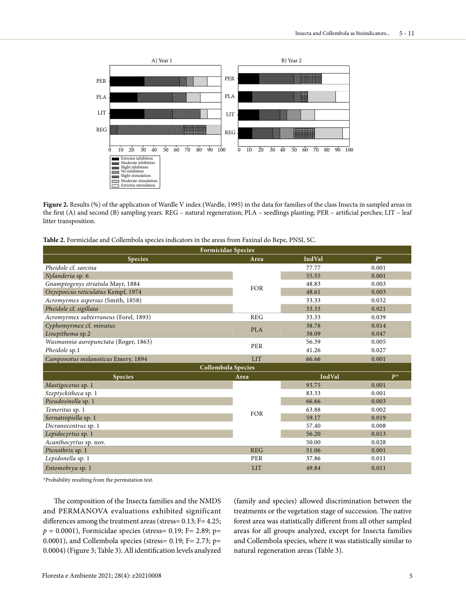

Figure 2. Results (%) of the application of Wardle V index (Wardle, 1995) in the data for families of the class Insecta in sampled areas in the first (A) and second (B) sampling years. REG – natural regeneration; PLA – seedlings planting; PER – artificial perches; LIT – leaf litter transposition.

| <b>Table 2.</b> Formicidae and Collembola species indicators in the areas from Faxinal do Bepe, PNSI, SC. |  |  |  |  |
|-----------------------------------------------------------------------------------------------------------|--|--|--|--|
|-----------------------------------------------------------------------------------------------------------|--|--|--|--|

| <b>Formicidae Species</b>             |            |        |       |  |  |  |
|---------------------------------------|------------|--------|-------|--|--|--|
| <b>Species</b>                        | Area       | IndVal | $P^*$ |  |  |  |
| Pheidole cf. sarcina                  | <b>FOR</b> | 77.77  | 0.001 |  |  |  |
| Nylanderia sp. 6                      |            | 55.55  | 0.001 |  |  |  |
| Gnamptogenys striatula Mayr, 1884     |            | 48.83  | 0.003 |  |  |  |
| Oxyepoecus reticulatus Kempf, 1974    |            | 48.61  | 0.003 |  |  |  |
| Acromyrmex aspersus (Smith, 1858)     |            | 33.33  | 0.032 |  |  |  |
| Pheidole cf. sigillata                |            | 33.33  | 0.021 |  |  |  |
| Acromyrmex subterraneus (Forel, 1893) | <b>REG</b> | 33.33  | 0.039 |  |  |  |
| Cyphomyrmex cf. minutus               | <b>PLA</b> |        | 0.014 |  |  |  |
| Linepithema sp.2                      |            | 38.09  | 0.047 |  |  |  |
| Wasmannia auropunctata (Roger, 1863)  | PER        | 56.39  | 0.005 |  |  |  |
| Pheidole sp.1                         |            |        | 0.027 |  |  |  |
| Camponotus melanoticus Emery, 1894    | <b>LIT</b> | 66.66  | 0.001 |  |  |  |
| Collembola Species                    |            |        |       |  |  |  |
| <b>Species</b>                        | Area       | IndVal | $P^*$ |  |  |  |
| Mastigoceras sp. 1                    |            | 93.75  | 0.001 |  |  |  |
| Szeptyckitheca sp. 1                  |            | 83.33  | 0.001 |  |  |  |
| Pseudosinella sp. 1                   |            |        |       |  |  |  |
|                                       |            | 66.66  | 0.003 |  |  |  |
| Temeritas sp. 1                       |            | 63.88  | 0.002 |  |  |  |
| Sernatropiella sp. 1                  | <b>FOR</b> | 59.17  | 0.019 |  |  |  |
| Dicranocentrus sp. 1                  |            | 57.40  | 0.008 |  |  |  |
| Lepidocyrtus sp. 1                    |            | 56.20  | 0.013 |  |  |  |
| Acanthocyrtus sp. nov.                |            | 50.00  | 0.028 |  |  |  |
| Ptenothrix sp. 1                      | <b>REG</b> | 51.06  | 0.001 |  |  |  |
| Lepidonella sp. 1                     | PER        | 37.86  | 0.011 |  |  |  |

\*Probability resulting from the permutation test.

The composition of the Insecta families and the NMDS and PERMANOVA evaluations exhibited significant differences among the treatment areas (stress= 0.13; F= 4.25; *p* = 0.0001), Formicidae species (stress= 0.19; F= 2.89; p= 0.0001), and Collembola species (stress=  $0.19$ ; F= 2.73; p= 0.0004) (Figure 3; Table 3). All identification levels analyzed (family and species) allowed discrimination between the treatments or the vegetation stage of succession. The native forest area was statistically different from all other sampled areas for all groups analyzed, except for Insecta families and Collembola species, where it was statistically similar to natural regeneration areas (Table 3).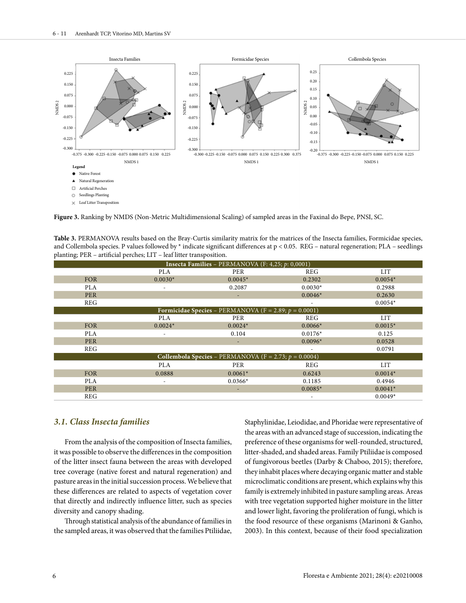

**Figure 3.** Ranking by NMDS (Non-Metric Multidimensional Scaling) of sampled areas in the Faxinal do Bepe, PNSI, SC.

**Table 3.** PERMANOVA results based on the Bray-Curtis similarity matrix for the matrices of the Insecta families, Formicidae species, and Collembola species. P values followed by  $*$  indicate significant differences at  $p < 0.05$ . REG – natural regeneration; PLA – seedlings planting; PER – artificial perches; LIT – leaf litter transposition.

| Insecta Families - PERMANOVA (F: 4,25; $p$ : 0,0001)     |            |           |                          |            |  |  |
|----------------------------------------------------------|------------|-----------|--------------------------|------------|--|--|
|                                                          | <b>PLA</b> | PER       | <b>REG</b>               | <b>LIT</b> |  |  |
| <b>FOR</b>                                               | $0.0030*$  | $0.0045*$ | 0.2302                   | $0.0054*$  |  |  |
| <b>PLA</b>                                               | ٠          | 0.2087    | $0.0030*$                | 0.2988     |  |  |
| <b>PER</b>                                               |            | ٠         | $0.0046*$                | 0.2630     |  |  |
| <b>REG</b>                                               |            |           | $\overline{\phantom{a}}$ | $0.0054*$  |  |  |
| Formicidae Species – PERMANOVA (F = 2.89; $p = 0.0001$ ) |            |           |                          |            |  |  |
|                                                          | <b>PLA</b> | PER       | <b>REG</b>               | <b>LIT</b> |  |  |
| <b>FOR</b>                                               | $0.0024*$  | $0.0024*$ | $0.0066*$                | $0.0015*$  |  |  |
| <b>PLA</b>                                               |            | 0.104     | $0.0176*$                | 0.125      |  |  |
| <b>PER</b>                                               |            |           | $0.0096*$                | 0.0528     |  |  |
| <b>REG</b>                                               |            |           |                          | 0.0791     |  |  |
| Collembola Species – PERMANOVA (F = 2.73; $p = 0.0004$ ) |            |           |                          |            |  |  |
|                                                          | <b>PLA</b> | PER       | REG                      | <b>LIT</b> |  |  |
| <b>FOR</b>                                               | 0.0888     | $0.0061*$ | 0.6243                   | $0.0014*$  |  |  |
| <b>PLA</b>                                               | ٠          | $0.0366*$ | 0.1185                   | 0.4946     |  |  |
| <b>PER</b>                                               |            | ٠         | $0.0085*$                | $0.0041*$  |  |  |
| <b>REG</b>                                               |            |           | $\overline{\phantom{a}}$ | $0.0049*$  |  |  |

#### *3.1. Class Insecta families*

From the analysis of the composition of Insecta families, it was possible to observe the differences in the composition of the litter insect fauna between the areas with developed tree coverage (native forest and natural regeneration) and pasture areas in the initial succession process. We believe that these differences are related to aspects of vegetation cover that directly and indirectly influence litter, such as species diversity and canopy shading.

Through statistical analysis of the abundance of families in the sampled areas, it was observed that the families Ptiliidae, Staphylinidae, Leiodidae, and Phoridae were representative of the areas with an advanced stage of succession, indicating the preference of these organisms for well-rounded, structured, litter-shaded, and shaded areas. Family Ptiliidae is composed of fungivorous beetles (Darby & Chaboo, 2015); therefore, they inhabit places where decaying organic matter and stable microclimatic conditions are present, which explains why this family is extremely inhibited in pasture sampling areas. Areas with tree vegetation supported higher moisture in the litter and lower light, favoring the proliferation of fungi, which is the food resource of these organisms (Marinoni & Ganho, 2003). In this context, because of their food specialization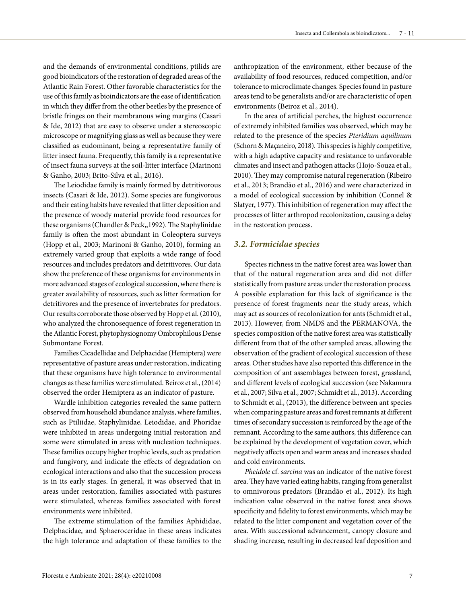and the demands of environmental conditions, ptilids are good bioindicators of the restoration of degraded areas of the Atlantic Rain Forest. Other favorable characteristics for the use of this family as bioindicators are the ease of identification in which they differ from the other beetles by the presence of bristle fringes on their membranous wing margins (Casari & Ide, 2012) that are easy to observe under a stereoscopic microscope or magnifying glass as well as because they were classified as eudominant, being a representative family of litter insect fauna. Frequently, this family is a representative of insect fauna surveys at the soil-litter interface (Marinoni & Ganho, 2003; Brito-Silva et al., 2016).

The Leiodidae family is mainly formed by detritivorous insects (Casari & Ide, 2012). Some species are fungivorous and their eating habits have revealed that litter deposition and the presence of woody material provide food resources for these organisms (Chandler & Peck,,1992). The Staphylinidae family is often the most abundant in Coleoptera surveys (Hopp et al., 2003; Marinoni & Ganho, 2010), forming an extremely varied group that exploits a wide range of food resources and includes predators and detritivores. Our data show the preference of these organisms for environments in more advanced stages of ecological succession, where there is greater availability of resources, such as litter formation for detritivores and the presence of invertebrates for predators. Our results corroborate those observed by Hopp et al. (2010), who analyzed the chronosequence of forest regeneration in the Atlantic Forest, phytophysiognomy Ombrophilous Dense Submontane Forest.

Families Cicadellidae and Delphacidae (Hemiptera) were representative of pasture areas under restoration, indicating that these organisms have high tolerance to environmental changes as these families were stimulated. Beiroz et al., (2014) observed the order Hemiptera as an indicator of pasture.

Wardle inhibition categories revealed the same pattern observed from household abundance analysis, where families, such as Ptiliidae, Staphylinidae, Leiodidae, and Phoridae were inhibited in areas undergoing initial restoration and some were stimulated in areas with nucleation techniques. These families occupy higher trophic levels, such as predation and fungivory, and indicate the effects of degradation on ecological interactions and also that the succession process is in its early stages. In general, it was observed that in areas under restoration, families associated with pastures were stimulated, whereas families associated with forest environments were inhibited.

The extreme stimulation of the families Aphididae, Delphacidae, and Sphaeroceridae in these areas indicates the high tolerance and adaptation of these families to the

anthropization of the environment, either because of the availability of food resources, reduced competition, and/or tolerance to microclimate changes. Species found in pasture areas tend to be generalists and/or are characteristic of open environments (Beiroz et al., 2014).

In the area of artificial perches, the highest occurrence of extremely inhibited families was observed, which may be related to the presence of the species *Pteridium aquilinum* (Schorn & Maçaneiro, 2018). This species is highly competitive, with a high adaptive capacity and resistance to unfavorable climates and insect and pathogen attacks (Hojo-Souza et al., 2010). They may compromise natural regeneration (Ribeiro et al., 2013; Brandão et al., 2016) and were characterized in a model of ecological succession by inhibition (Connel & Slatyer, 1977). This inhibition of regeneration may affect the processes of litter arthropod recolonization, causing a delay in the restoration process.

#### *3.2. Formicidae species*

Species richness in the native forest area was lower than that of the natural regeneration area and did not differ statistically from pasture areas under the restoration process. A possible explanation for this lack of significance is the presence of forest fragments near the study areas, which may act as sources of recolonization for ants (Schmidt et al., 2013). However, from NMDS and the PERMANOVA, the species composition of the native forest area was statistically different from that of the other sampled areas, allowing the observation of the gradient of ecological succession of these areas. Other studies have also reported this difference in the composition of ant assemblages between forest, grassland, and different levels of ecological succession (see Nakamura et al., 2007; Silva et al., 2007; Schmidt et al., 2013). According to Schmidt et al., (2013), the difference between ant species when comparing pasture areas and forest remnants at different times of secondary succession is reinforced by the age of the remnant. According to the same authors, this difference can be explained by the development of vegetation cover, which negatively affects open and warm areas and increases shaded and cold environments.

*Pheidole* cf. *sarcina* was an indicator of the native forest area. They have varied eating habits, ranging from generalist to omnivorous predators (Brandão et al., 2012). Its high indication value observed in the native forest area shows specificity and fidelity to forest environments, which may be related to the litter component and vegetation cover of the area. With successional advancement, canopy closure and shading increase, resulting in decreased leaf deposition and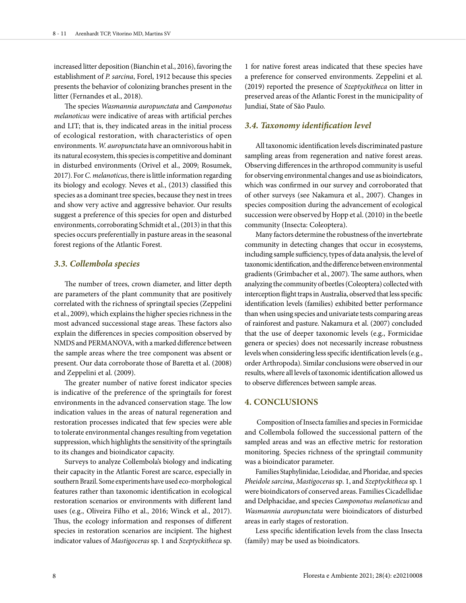increased litter deposition (Bianchin et al., 2016), favoring the establishment of *P. sarcina*, Forel, 1912 because this species presents the behavior of colonizing branches present in the litter (Fernandes et al., 2018).

The species *Wasmannia auropunctata* and *Camponotus melanoticus* were indicative of areas with artificial perches and LIT; that is, they indicated areas in the initial process of ecological restoration, with characteristics of open environments. *W. auropunctata* have an omnivorous habit in its natural ecosystem, this species is competitive and dominant in disturbed environments (Orivel et al., 2009; Rosumek, 2017). For *C. melanoticus*, there is little information regarding its biology and ecology. Neves et al., (2013) classified this species as a dominant tree species, because they nest in trees and show very active and aggressive behavior. Our results suggest a preference of this species for open and disturbed environments, corroborating Schmidt et al., (2013) in that this species occurs preferentially in pasture areas in the seasonal forest regions of the Atlantic Forest.

#### *3.3. Collembola species*

The number of trees, crown diameter, and litter depth are parameters of the plant community that are positively correlated with the richness of springtail species (Zeppelini et al., 2009), which explains the higher species richness in the most advanced successional stage areas. These factors also explain the differences in species composition observed by NMDS and PERMANOVA, with a marked difference between the sample areas where the tree component was absent or present. Our data corroborate those of Baretta et al. (2008) and Zeppelini et al. (2009).

The greater number of native forest indicator species is indicative of the preference of the springtails for forest environments in the advanced conservation stage. The low indication values in the areas of natural regeneration and restoration processes indicated that few species were able to tolerate environmental changes resulting from vegetation suppression, which highlights the sensitivity of the springtails to its changes and bioindicator capacity.

Surveys to analyze Collembola's biology and indicating their capacity in the Atlantic Forest are scarce, especially in southern Brazil. Some experiments have used eco-morphological features rather than taxonomic identification in ecological restoration scenarios or environments with different land uses (e.g., Oliveira Filho et al., 2016; Winck et al., 2017). Thus, the ecology information and responses of different species in restoration scenarios are incipient. The highest indicator values of *Mastigoceras* sp. 1 and *Szeptyckitheca* sp.

1 for native forest areas indicated that these species have a preference for conserved environments. Zeppelini et al. (2019) reported the presence of *Szeptyckitheca* on litter in preserved areas of the Atlantic Forest in the municipality of Jundiaí, State of São Paulo.

## *3.4. Taxonomy identification level*

All taxonomic identification levels discriminated pasture sampling areas from regeneration and native forest areas. Observing differences in the arthropod community is useful for observing environmental changes and use as bioindicators, which was confirmed in our survey and corroborated that of other surveys (see Nakamura et al., 2007). Changes in species composition during the advancement of ecological succession were observed by Hopp et al. (2010) in the beetle community (Insecta: Coleoptera).

Many factors determine the robustness of the invertebrate community in detecting changes that occur in ecosystems, including sample sufficiency, types of data analysis, the level of taxonomic identification, and the difference between environmental gradients (Grimbacher et al., 2007). The same authors, when analyzing the community of beetles (Coleoptera) collected with interception flight traps in Australia, observed that less specific identification levels (families) exhibited better performance than when using species and univariate tests comparing areas of rainforest and pasture. Nakamura et al. (2007) concluded that the use of deeper taxonomic levels (e.g., Formicidae genera or species) does not necessarily increase robustness levels when considering less specific identification levels (e.g., order Arthropoda). Similar conclusions were observed in our results, where all levels of taxonomic identification allowed us to observe differences between sample areas.

## **4. CONCLUSIONS**

 Composition of Insecta families and species in Formicidae and Collembola followed the successional pattern of the sampled areas and was an effective metric for restoration monitoring. Species richness of the springtail community was a bioindicator parameter.

Families Staphylinidae, Leiodidae, and Phoridae, and species *Pheidole sarcina*, *Mastigoceras* sp. 1, and *Szeptyckitheca* sp. 1 were bioindicators of conserved areas. Families Cicadellidae and Delphacidae, and species *Camponotus melanoticus* and *Wasmannia auropunctata* were bioindicators of disturbed areas in early stages of restoration.

Less specific identification levels from the class Insecta (family) may be used as bioindicators.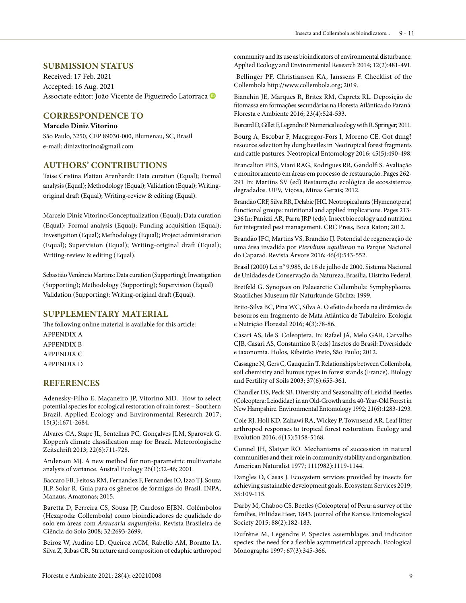#### **SUBMISSION STATUS**

Received: 17 Feb. 2021 Accepted: 16 Aug. 2021 Associateeditor: João Vicente de Figueiredo Latorraca <sup>®</sup>

## **CORRESPONDENCE TO**

#### **Marcelo Diniz Vitorino**

São Paulo, 3250, CEP 89030-000, Blumenau, SC, Brasil e-mail: dinizvitorino@gmail.com

#### **AUTHORS' CONTRIBUTIONS**

Taise Cristina Plattau Arenhardt: Data curation (Equal); Formal analysis (Equal); Methodology (Equal); Validation (Equal); Writingoriginal draft (Equal); Writing-review & editing (Equal).

Marcelo Diniz Vitorino:Conceptualization (Equal); Data curation (Equal); Formal analysis (Equal); Funding acquisition (Equal); Investigation (Equal); Methodology (Equal); Project administration (Equal); Supervision (Equal); Writing-original draft (Equal); Writing-review & editing (Equal).

Sebastião Venâncio Martins: Data curation (Supporting); Investigation (Supporting); Methodology (Supporting); Supervision (Equal) Validation (Supporting); Writing-original draft (Equal).

## **SUPPLEMENTARY MATERIAL**

The following online material is available for this article: APPENDIX A APPENDIX B APPENDIX C APPENDIX D

### **REFERENCES**

Adenesky-Filho E, Maçaneiro JP, Vitorino MD. How to select potential species for ecological restoration of rain forest – Southern Brazil. Applied Ecology and Environmental Research 2017; 15(3):1671-2684.

Alvares CA, Stape JL, Sentelhas PC, Gonçalves JLM, Sparovek G. Koppen's climate classification map for Brazil. Meteorologische Zeitschrift 2013; 22(6):711-728.

Anderson MJ. A new method for non-parametric multivariate analysis of variance. Austral Ecology 26(1):32-46; 2001.

Baccaro FB, Feitosa RM, Fernandez F, Fernandes IO, Izzo TJ, Souza JLP, Solar R. Guia para os gêneros de formigas do Brasil. INPA, Manaus, Amazonas; 2015.

Baretta D, Ferreira CS, Sousa JP, Cardoso EJBN. Colêmbolos (Hexapoda: Collembola) como bioindicadores de qualidade do solo em áreas com *Araucaria angustifolia*. Revista Brasileira de Ciência do Solo 2008; 32:2693-2699.

Beiroz W, Audino LD, Queiroz ACM, Rabello AM, Boratto IA, Silva Z, Ribas CR. Structure and composition of edaphic arthropod community and its use as bioindicators of environmental disturbance. Applied Ecology and Environmental Research 2014; 12(2):481-491.

 Bellinger PF, Christiansen KA, Janssens F. Checklist of the Collembola http://www.collembola.org; 2019.

Bianchin JE, Marques R, Britez RM, Capretz RL. Deposição de fitomassa em formações secundárias na Floresta Atlântica do Paraná. Floresta e Ambiente 2016; 23(4):524-533.

Borcard D, Gillet F, Legendre P. Numerical ecology with R. Springer; 2011.

Bourg A, Escobar F, Macgregor-Fors I, Moreno CE. Got dung? resource selection by dung beetles in Neotropical forest fragments and cattle pastures. Neotropical Entomology 2016; 45(5):490-498.

Brancalion PHS, Viani RAG, Rodrigues RR, Gandolfi S. Avaliação e monitoramento em áreas em processo de restauração. Pages 262- 291 In: Martins SV (ed) Restauração ecológica de ecossistemas degradados. UFV, Viçosa, Minas Gerais; 2012.

Brandão CRF, Silva RR, Delabie JHC. Neotropical ants (Hymenotpera) functional groups: nutritional and applied implications. Pages 213- 236 In: Panizzi AR, Parra JRP (eds). Insect bioecology and nutrition for integrated pest management. CRC Press, Boca Raton; 2012.

Brandão JFC, Martins VS, Brandão IJ. Potencial de regeneração de uma área invadida por *Pteridium aquilinum* no Parque Nacional do Caparaó. Revista Árvore 2016; 46(4):543-552.

Brasil (2000) Lei n° 9.985, de 18 de julho de 2000. Sistema Nacional de Unidades de Conservação da Natureza, Brasília, Distrito Federal.

Bretfeld G. Synopses on Palaearctic Collembola: Symphypleona. Staatliches Museum für Naturkunde Görlitz; 1999.

Brito-Silva BC, Pina WC, Silva A. O efeito de borda na dinâmica de besouros em fragmento de Mata Atlântica de Tabuleiro. Ecologia e Nutrição Florestal 2016; 4(3):78-86.

Casari AS, Ide S. Coleoptera. In: Rafael JÁ, Melo GAR, Carvalho CJB, Casari AS, Constantino R (eds) Insetos do Brasil: Diversidade e taxonomia. Holos, Ribeirão Preto, São Paulo; 2012.

Cassagne N, Gers C, Gauquelin T. Relationships between Collembola, soil chemistry and humus types in forest stands (France). Biology and Fertility of Soils 2003; 37(6):655-361.

Chandler DS, Peck SB. Diversity and Seasonality of Leiodid Beetles (Coleoptera: Leiodidae) in an Old-Growth and a 40-Year-Old Forest in New Hampshire. Environmental Entomology 1992; 21(6):1283-1293.

Cole RJ, Holl KD, Zahawi RA, Wickey P, Townsend AR. Leaf litter arthropod responses to tropical forest restoration. Ecology and Evolution 2016; 6(15):5158-5168.

Connel JH, Slatyer RO. Mechanisms of succession in natural communities and their role in community stability and organization. American Naturalist 1977; 111(982):1119-1144.

Dangles O, Casas J. Ecosystem services provided by insects for achieving sustainable development goals. Ecosystem Services 2019; 35:109-115.

Darby M, Chaboo CS. Beetles (Coleoptera) of Peru: a survey of the families, Ptiliidae Heer, 1843. Journal of the Kansas Entomological Society 2015; 88(2):182-183.

Dufrêne M, Legendre P. Species assemblages and indicator species: the need for a flexible asymmetrical approach. Ecological Monographs 1997; 67(3):345-366.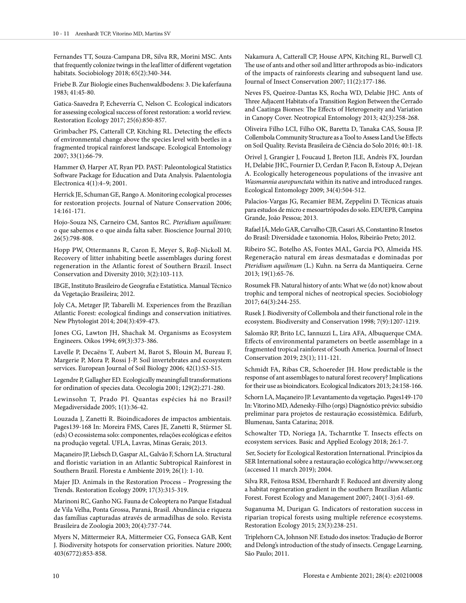Fernandes TT, Souza-Campana DR, Silva RR, Morini MSC. Ants that frequently colonize twings in the leaf litter of different vegetation habitats. Sociobiology 2018; 65(2):340-344.

Friebe B. Zur Biologie eines Buchenwaldbodens: 3. Die kaferfauna 1983; 41:45-80.

Gatica-Saavedra P, Echeverría C, Nelson C. Ecological indicators for assessing ecological success of forest restoration: a world review. Restoration Ecology 2017; 25(6):850-857.

Grimbacher PS, Catterall CP, Kitching RL. Detecting the effects of environmental change above the species level with beetles in a fragmented tropical rainforest landscape. Ecological Entomology 2007; 33(1):66-79.

Hammer Ø, Harper AT, Ryan PD. PAST: Paleontological Statistics Software Package for Education and Data Analysis. Palaentologia Electronica 4(1):4–9; 2001.

Herrick JE, Schuman GE, Rango A. Monitoring ecological processes for restoration projects. Journal of Nature Conservation 2006; 14:161-171.

Hojo-Souza NS, Carneiro CM, Santos RC. *Pteridium aquilinum*: o que sabemos e o que ainda falta saber. Bioscience Journal 2010; 26(5):798-808.

Hopp PW, Ottermanns R, Caron E, Meyer S, Roβ-Nickoll M. Recovery of litter inhabiting beetle assemblages during forest regeneration in the Atlantic forest of Southern Brazil. Insect Conservation and Diversity 2010; 3(2):103-113.

IBGE, Instituto Brasileiro de Geografia e Estatística. Manual Técnico da Vegetação Brasileira; 2012.

Joly CA, Metzger JP, Tabarelli M. Experiences from the Brazilian Atlantic Forest: ecological findings and conservation initiatives. New Phytologist 2014; 204(3):459-473.

Jones CG, Lawton JH, Shachak M. Organisms as Ecosystem Engineers. Oikos 1994; 69(3):373-386.

Lavelle P, Decaëns T, Aubert M, Barot S, Blouin M, Bureau F, Margerie P, Mora P, Rossi J-P. Soil invertebrates and ecosystem services. European Journal of Soil Biology 2006; 42(1):S3-S15.

Legendre P, Gallagher ED. Ecologically meaningfull transformations for ordination of species data. Oecologia 2001; 129(2):271-280.

Lewinsohn T, Prado PI. Quantas espécies há no Brasil? Megadiversidade 2005; 1(1):36-42.

Louzada J, Zanetti R. Bioindicadores de impactos ambientais. Pages139-168 In: Moreira FMS, Cares JE, Zanetti R, Stürmer SL (eds) O ecossistema solo: componentes, relações ecológicas e efeitos na produção vegetal. UFLA, Lavras, Minas Gerais; 2013.

Maçaneiro JP, Liebsch D, Gaspar AL, Galvão F, Schorn LA. Structural and floristic variation in an Atlantic Subtropical Rainforest in Southern Brazil. Floresta e Ambiente 2019; 26(1): 1-10.

Majer JD. Animals in the Restoration Process – Progressing the Trends. Restoration Ecology 2009; 17(3):315-319.

Marinoni RC, Ganho NG. Fauna de Coleoptera no Parque Estadual de Vila Velha, Ponta Grossa, Paraná, Brasil. Abundância e riqueza das famílias capturadas através de armadilhas de solo. Revista Brasileira de Zoologia 2003; 20(4):737-744.

Myers N, Mittermeier RA, Mittermeier CG, Fonseca GAB, Kent J. Biodiversity hotspots for conservation priorities. Nature 2000; 403(6772):853-858.

Nakamura A, Catterall CP, House APN, Kitching RL, Burwell CJ. The use of ants and other soil and litter arthropods as bio-indicators of the impacts of rainforests clearing and subsequent land use. Journal of Insect Conservation 2007; 11(2):177-186.

Neves FS, Queiroz-Dantas KS, Rocha WD, Delabie JHC. Ants of Three Adjacent Habitats of a Transition Region Between the Cerrado and Caatinga Biomes: The Effects of Heterogeneity and Variation in Canopy Cover. Neotropical Entomology 2013; 42(3):258-268.

Oliveira Filho LCI, Filho OK, Baretta D, Tanaka CAS, Sousa JP. Collembola Community Structure as a Tool to Assess Land Use Effects on Soil Quality. Revista Brasileira de Ciência do Solo 2016; 40:1-18.

Orivel J, Grangier J, Foucaud J, Breton JLE, Andrès FX, Jourdan H, Delabie JHC, Fournier D, Cerdan P, Facon B, Estoup A, Dejean A. Ecologically heterogeneous populations of the invasive ant *Wasmannia auropunctata* within its native and introduced ranges. Ecological Entomology 2009; 34(4):504-512.

Palacios-Vargas JG, Recamier BEM, Zeppelini D. Técnicas atuais para estudos de micro e mesoartrópodes do solo. EDUEPB, Campina Grande, João Pessoa; 2013.

Rafael JÁ, Melo GAR, Carvalho CJB, Casari AS, Constantino R Insetos do Brasil: Diversidade e taxonomia. Holos, Ribeirão Preto; 2012.

Ribeiro SC, Botelho AS, Fontes MAL, Garcia PO, Almeida HS. Regeneração natural em áreas desmatadas e dominadas por *Pteridium aquilinum* (L.) Kuhn. na Serra da Mantiqueira. Cerne 2013; 19(1):65-76.

Rosumek FB. Natural history of ants: What we (do not) know about trophic and temporal niches of neotropical species. Sociobiology 2017; 64(3):244-255.

Rusek J. Biodiversity of Collembola and their functional role in the ecosystem. Biodiversity and Conservation 1998; 7(9):1207-1219.

Salomão RP, Brito LC, Iannuzzi L, Lira AFA, Albuquerque CMA. Effects of environmental parameters on beetle assemblage in a fragmented tropical rainforest of South America. Journal of Insect Conservation 2019; 23(1); 111-121.

Schmidt FA, Ribas CR, Schoereder JH. How predictable is the response of ant assemblages to natural forest recovery? Implications for their use as bioindicators. Ecological Indicators 2013; 24:158-166.

Schorn LA, Maçaneiro JP. Levantamento da vegetação. Pages149-170 In: Vitorino MD, Adenesky-Filho (orgs) Diagnóstico prévio: subsídio preliminar para projetos de restauração ecossistêmica. Edifurb, Blumenau, Santa Catarina; 2018.

Schowalter TD, Noriega JA, Tscharntke T. Insects effects on ecosystem services. Basic and Applied Ecology 2018; 26:1-7.

 Ser, Society for Ecological Restoration International. Princípios da SER International sobre a restauração ecológica http://www.ser.org (accessed 11 march 2019); 2004.

Silva RR, Feitosa RSM, Ebernhardt F. Reduced ant diversity along a habitat regeneration gradient in the southern Brazilian Atlantic Forest. Forest Ecology and Management 2007; 240(1-3):61-69.

Suganuma M, Durigan G. Indicators of restoration success in riparian tropical forests using multiple reference ecosystems. Restoration Ecology 2015; 23(3):238-251.

Triplehorn CA, Johnson NF. Estudo dos insetos: Tradução de Borror and Delong's introduction of the study of insects. Cengage Learning, São Paulo; 2011.